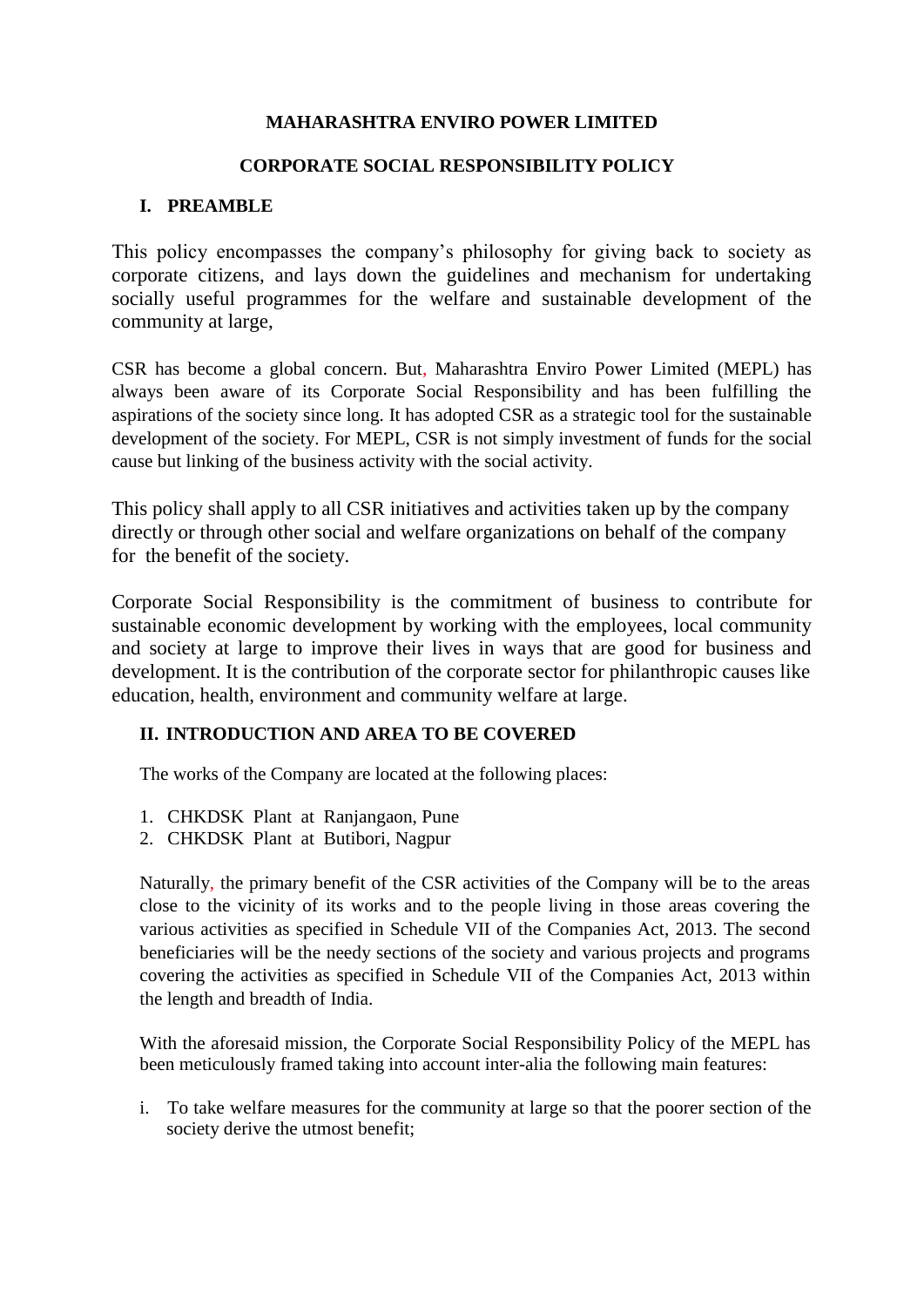## **MAHARASHTRA ENVIRO POWER LIMITED**

### **CORPORATE SOCIAL RESPONSIBILITY POLICY**

## **I. PREAMBLE**

This policy encompasses the company's philosophy for giving back to society as corporate citizens, and lays down the guidelines and mechanism for undertaking socially useful programmes for the welfare and sustainable development of the community at large,

CSR has become a global concern. But, Maharashtra Enviro Power Limited (MEPL) has always been aware of its Corporate Social Responsibility and has been fulfilling the aspirations of the society since long. It has adopted CSR as a strategic tool for the sustainable development of the society. For MEPL, CSR is not simply investment of funds for the social cause but linking of the business activity with the social activity.

This policy shall apply to all CSR initiatives and activities taken up by the company directly or through other social and welfare organizations on behalf of the company for the benefit of the society.

Corporate Social Responsibility is the commitment of business to contribute for sustainable economic development by working with the employees, local community and society at large to improve their lives in ways that are good for business and development. It is the contribution of the corporate sector for philanthropic causes like education, health, environment and community welfare at large.

## **II. INTRODUCTION AND AREA TO BE COVERED**

The works of the Company are located at the following places:

- 1. CHKDSK Plant at Ranjangaon, Pune
- 2. CHKDSK Plant at Butibori, Nagpur

Naturally, the primary benefit of the CSR activities of the Company will be to the areas close to the vicinity of its works and to the people living in those areas covering the various activities as specified in Schedule VII of the Companies Act, 2013. The second beneficiaries will be the needy sections of the society and various projects and programs covering the activities as specified in Schedule VII of the Companies Act, 2013 within the length and breadth of India.

With the aforesaid mission, the Corporate Social Responsibility Policy of the MEPL has been meticulously framed taking into account inter-alia the following main features:

i. To take welfare measures for the community at large so that the poorer section of the society derive the utmost benefit;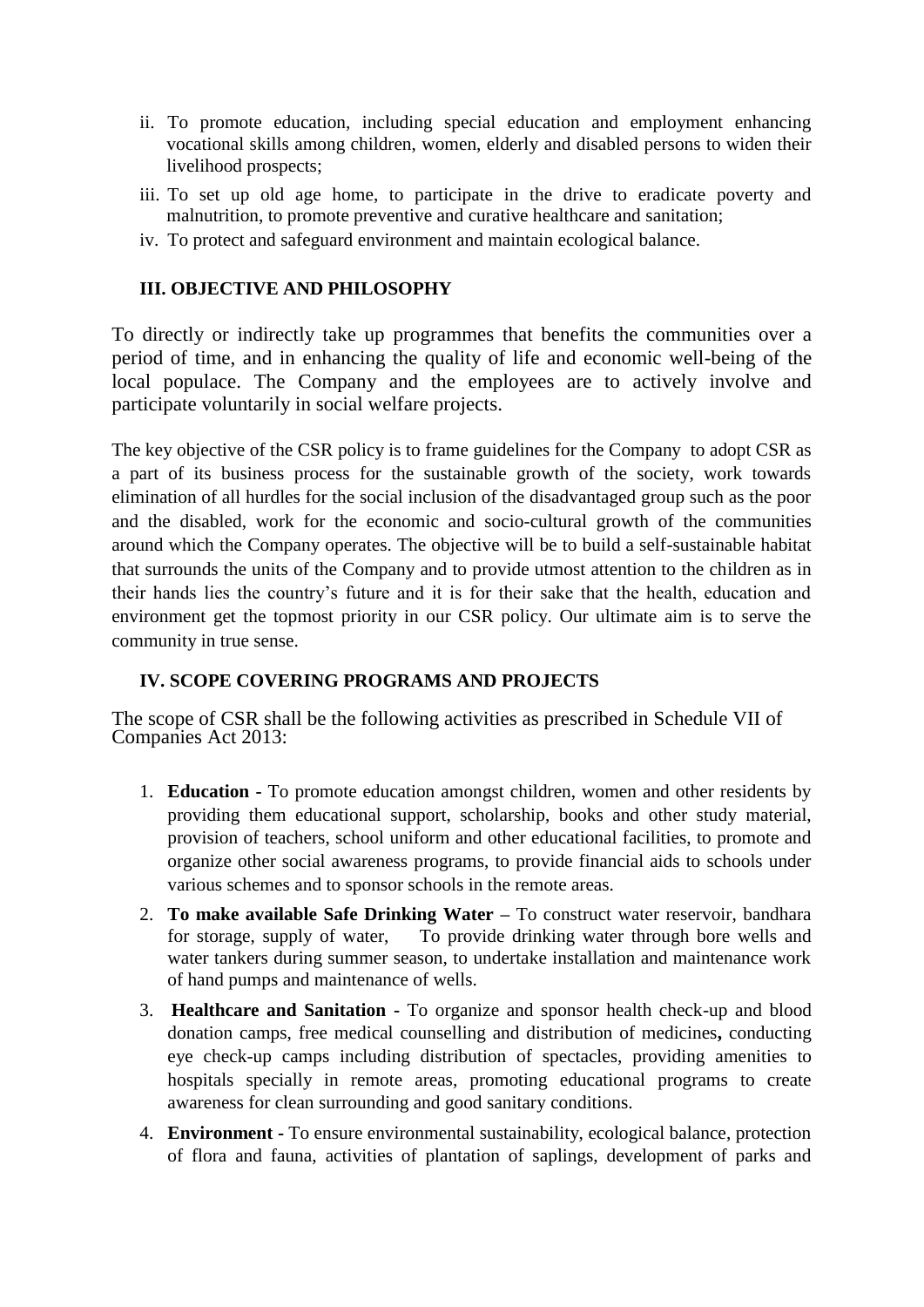- ii. To promote education, including special education and employment enhancing vocational skills among children, women, elderly and disabled persons to widen their livelihood prospects;
- iii. To set up old age home, to participate in the drive to eradicate poverty and malnutrition, to promote preventive and curative healthcare and sanitation;
- iv. To protect and safeguard environment and maintain ecological balance.

## **III. OBJECTIVE AND PHILOSOPHY**

To directly or indirectly take up programmes that benefits the communities over a period of time, and in enhancing the quality of life and economic well-being of the local populace. The Company and the employees are to actively involve and participate voluntarily in social welfare projects.

The key objective of the CSR policy is to frame guidelines for the Company to adopt CSR as a part of its business process for the sustainable growth of the society, work towards elimination of all hurdles for the social inclusion of the disadvantaged group such as the poor and the disabled, work for the economic and socio-cultural growth of the communities around which the Company operates. The objective will be to build a self-sustainable habitat that surrounds the units of the Company and to provide utmost attention to the children as in their hands lies the country's future and it is for their sake that the health, education and environment get the topmost priority in our CSR policy. Our ultimate aim is to serve the community in true sense.

### **IV. SCOPE COVERING PROGRAMS AND PROJECTS**

The scope of CSR shall be the following activities as prescribed in Schedule VII of Companies Act 2013:

- 1. **Education -** To promote education amongst children, women and other residents by providing them educational support, scholarship, books and other study material, provision of teachers, school uniform and other educational facilities, to promote and organize other social awareness programs, to provide financial aids to schools under various schemes and to sponsor schools in the remote areas.
- 2. **To make available Safe Drinking Water –** To construct water reservoir, bandhara for storage, supply of water,To provide drinking water through bore wells and water tankers during summer season, to undertake installation and maintenance work of hand pumps and maintenance of wells.
- 3. **Healthcare and Sanitation -** To organize and sponsor health check-up and blood donation camps, free medical counselling and distribution of medicines**,** conducting eye check-up camps including distribution of spectacles, providing amenities to hospitals specially in remote areas, promoting educational programs to create awareness for clean surrounding and good sanitary conditions.
- 4. **Environment -** To ensure environmental sustainability, ecological balance, protection of flora and fauna, activities of plantation of saplings, development of parks and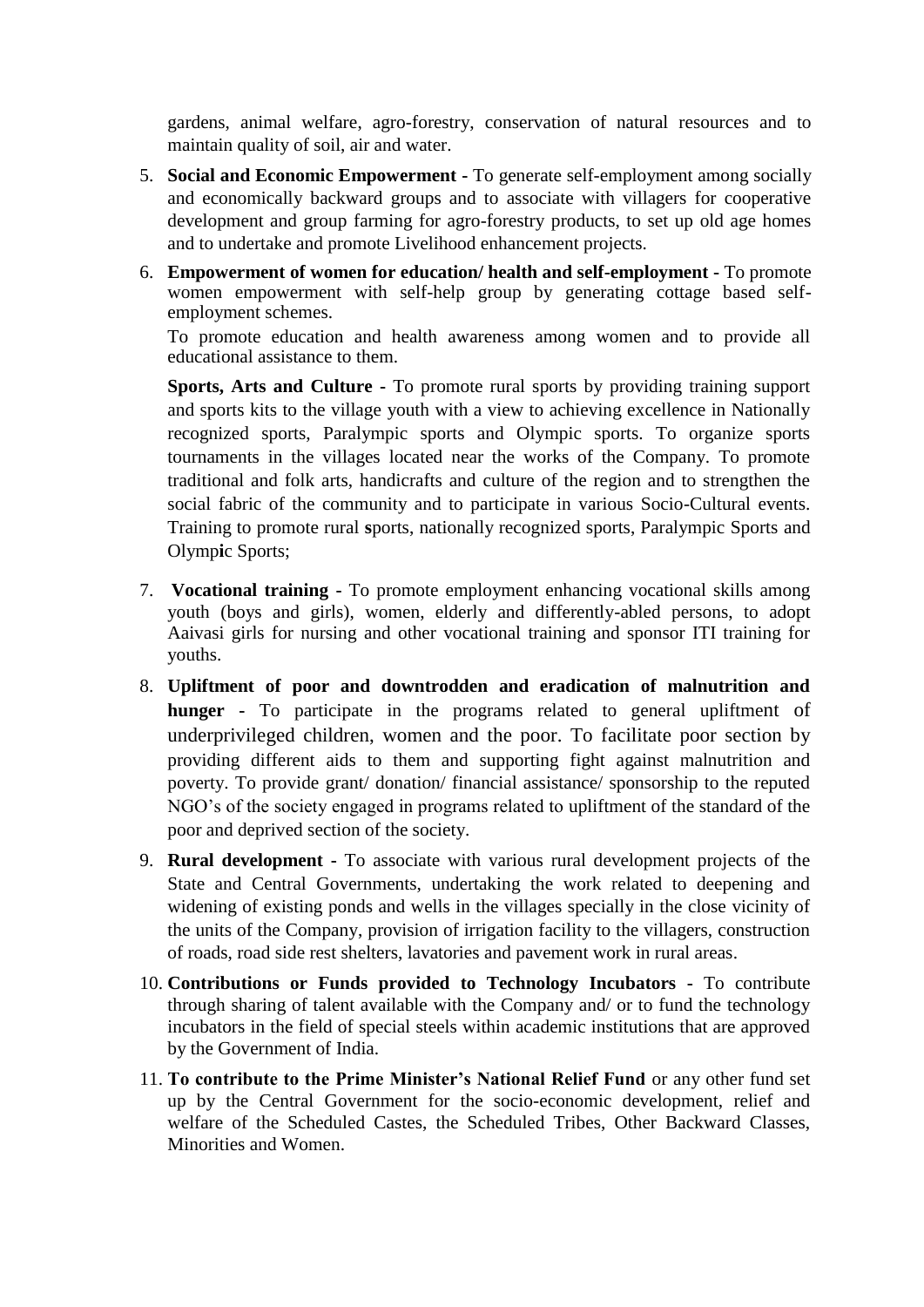gardens, animal welfare, agro-forestry, conservation of natural resources and to maintain quality of soil, air and water.

- 5. **Social and Economic Empowerment -** To generate self-employment among socially and economically backward groups and to associate with villagers for cooperative development and group farming for agro-forestry products, to set up old age homes and to undertake and promote Livelihood enhancement projects.
- 6. **Empowerment of women for education/ health and self-employment -** To promote women empowerment with self-help group by generating cottage based selfemployment schemes.

To promote education and health awareness among women and to provide all educational assistance to them.

**Sports, Arts and Culture -** To promote rural sports by providing training support and sports kits to the village youth with a view to achieving excellence in Nationally recognized sports, Paralympic sports and Olympic sports. To organize sports tournaments in the villages located near the works of the Company. To promote traditional and folk arts, handicrafts and culture of the region and to strengthen the social fabric of the community and to participate in various Socio-Cultural events. Training to promote rural **s**ports, nationally recognized sports, Paralympic Sports and Olymp**i**c Sports;

- 7. **Vocational training -** To promote employment enhancing vocational skills among youth (boys and girls), women, elderly and differently-abled persons, to adopt Aaivasi girls for nursing and other vocational training and sponsor ITI training for youths.
- 8. **Upliftment of poor and downtrodden and eradication of malnutrition and hunger -** To participate in the programs related to general upliftment of underprivileged children, women and the poor. To facilitate poor section by providing different aids to them and supporting fight against malnutrition and poverty. To provide grant/ donation/ financial assistance/ sponsorship to the reputed NGO's of the society engaged in programs related to upliftment of the standard of the poor and deprived section of the society.
- 9. **Rural development -** To associate with various rural development projects of the State and Central Governments, undertaking the work related to deepening and widening of existing ponds and wells in the villages specially in the close vicinity of the units of the Company, provision of irrigation facility to the villagers, construction of roads, road side rest shelters, lavatories and pavement work in rural areas.
- 10. **Contributions or Funds provided to Technology Incubators -** To contribute through sharing of talent available with the Company and/ or to fund the technology incubators in the field of special steels within academic institutions that are approved by the Government of India.
- 11. **To contribute to the Prime Minister's National Relief Fund** or any other fund set up by the Central Government for the socio-economic development, relief and welfare of the Scheduled Castes, the Scheduled Tribes, Other Backward Classes, Minorities and Women.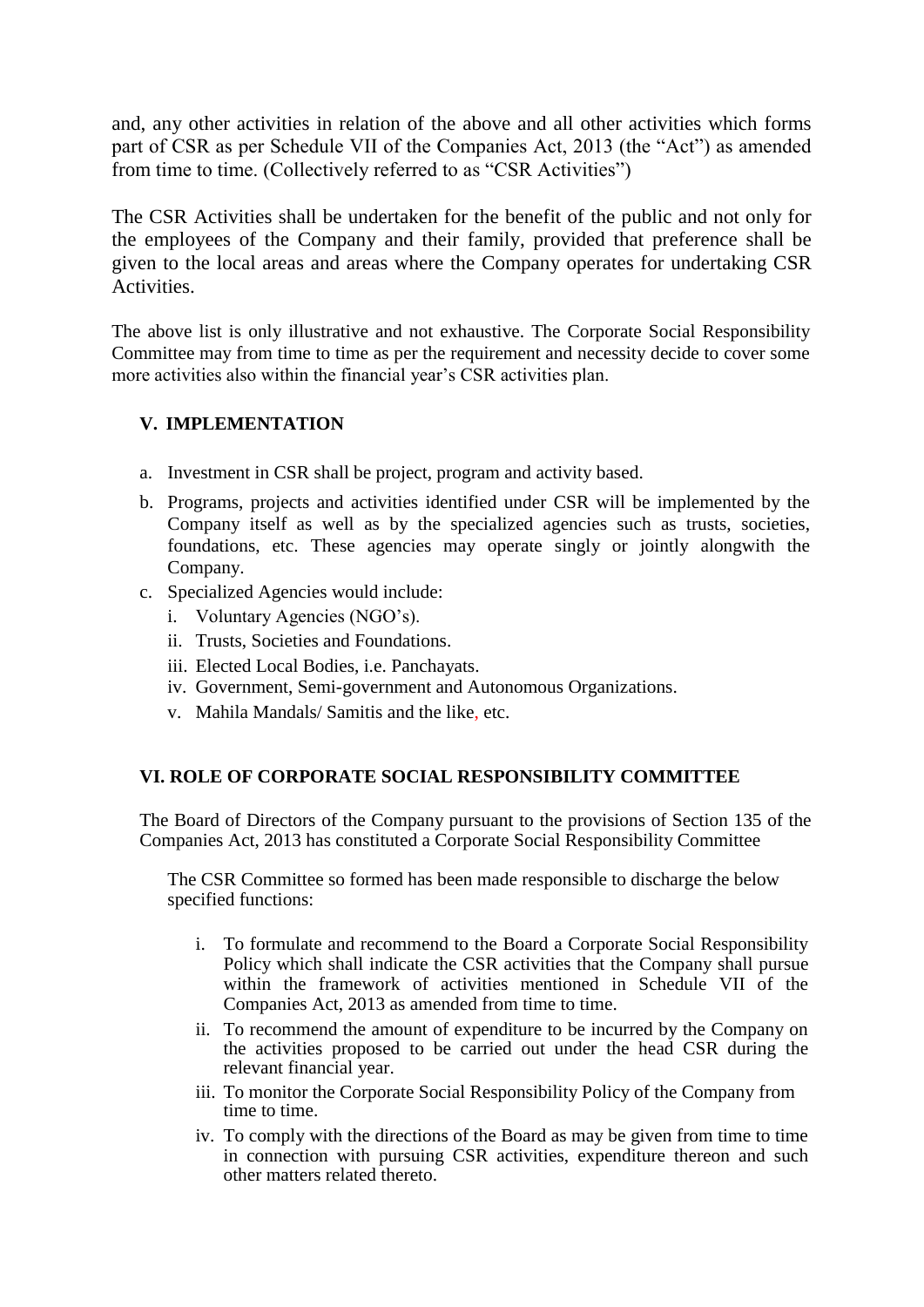and, any other activities in relation of the above and all other activities which forms part of CSR as per Schedule VII of the Companies Act, 2013 (the "Act") as amended from time to time. (Collectively referred to as "CSR Activities")

The CSR Activities shall be undertaken for the benefit of the public and not only for the employees of the Company and their family, provided that preference shall be given to the local areas and areas where the Company operates for undertaking CSR Activities.

The above list is only illustrative and not exhaustive. The Corporate Social Responsibility Committee may from time to time as per the requirement and necessity decide to cover some more activities also within the financial year's CSR activities plan.

# **V. IMPLEMENTATION**

- a. Investment in CSR shall be project, program and activity based.
- b. Programs, projects and activities identified under CSR will be implemented by the Company itself as well as by the specialized agencies such as trusts, societies, foundations, etc. These agencies may operate singly or jointly alongwith the Company.
- c. Specialized Agencies would include:
	- i. Voluntary Agencies (NGO's).
	- ii. Trusts, Societies and Foundations.
	- iii. Elected Local Bodies, i.e. Panchayats.
	- iv. Government, Semi-government and Autonomous Organizations.
	- v. Mahila Mandals/ Samitis and the like, etc.

## **VI. ROLE OF CORPORATE SOCIAL RESPONSIBILITY COMMITTEE**

The Board of Directors of the Company pursuant to the provisions of Section 135 of the Companies Act, 2013 has constituted a Corporate Social Responsibility Committee

The CSR Committee so formed has been made responsible to discharge the below specified functions:

- i. To formulate and recommend to the Board a Corporate Social Responsibility Policy which shall indicate the CSR activities that the Company shall pursue within the framework of activities mentioned in Schedule VII of the Companies Act, 2013 as amended from time to time.
- ii. To recommend the amount of expenditure to be incurred by the Company on the activities proposed to be carried out under the head CSR during the relevant financial year.
- iii. To monitor the Corporate Social Responsibility Policy of the Company from time to time.
- iv. To comply with the directions of the Board as may be given from time to time in connection with pursuing CSR activities, expenditure thereon and such other matters related thereto.